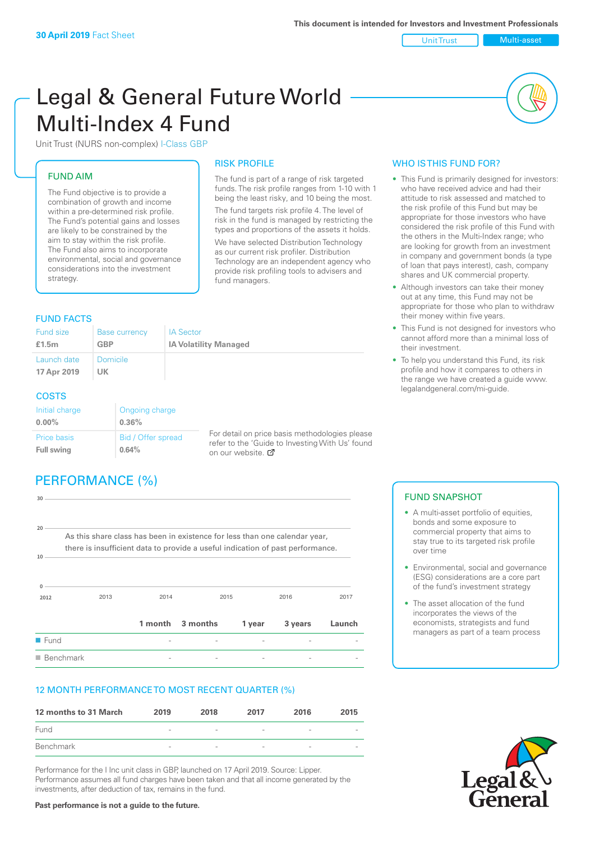Unit Trust Multi-asset

# Legal & General Future World Multi-Index 4 Fund

Unit Trust (NURS non-complex) I-Class GBP

# FUND AIM

The Fund objective is to provide a combination of growth and income within a pre-determined risk profile. The Fund's potential gains and losses are likely to be constrained by the aim to stay within the risk profile. The Fund also aims to incorporate environmental, social and governance considerations into the investment strategy.

# FUND FACTS

### RISK PROFILE

The fund is part of a range of risk targeted funds. The risk profile ranges from 1-10 with 1 being the least risky, and 10 being the most. The fund targets risk profile 4. The level of risk in the fund is managed by restricting the types and proportions of the assets it holds. We have selected Distribution Technology as our current risk profiler. Distribution Technology are an independent agency who provide risk profiling tools to advisers and fund managers.

| Fund size<br>£1.5m         | <b>Base currency</b><br><b>GBP</b> | <b>IA Sector</b><br><b>IA Volatility Managed</b> |
|----------------------------|------------------------------------|--------------------------------------------------|
| Launch date<br>17 Apr 2019 | <b>Domicile</b><br><b>UK</b>       |                                                  |
| <b>COSTS</b>               |                                    |                                                  |

#### Initial charge **0.00%** Ongoing charge **0.36%** Price basis **Full swing** Bid / Offer spread **0.64%**

For detail on price basis methodologies please refer to the 'Gu[ide t](http://www.legalandgeneral.com/guide)o Investing With Us' found on our website.

# PERFORMANCE (%)

| 30                       |                                                                                |                          |                  |        |         |        |
|--------------------------|--------------------------------------------------------------------------------|--------------------------|------------------|--------|---------|--------|
|                          |                                                                                |                          |                  |        |         |        |
| $20 -$                   | As this share class has been in existence for less than one calendar year,     |                          |                  |        |         |        |
| 10                       | there is insufficient data to provide a useful indication of past performance. |                          |                  |        |         |        |
|                          |                                                                                |                          |                  |        |         |        |
| 0                        |                                                                                |                          |                  |        |         |        |
| 2012                     | 2013                                                                           | 2014                     | 2015             |        | 2016    | 2017   |
|                          |                                                                                |                          | 1 month 3 months | 1 year | 3 years | Launch |
| <b>E</b> Fund            |                                                                                |                          |                  |        |         |        |
| $\blacksquare$ Benchmark |                                                                                | $\overline{\phantom{0}}$ |                  |        |         |        |

# 12 MONTH PERFORMANCE TO MOST RECENT QUARTER (%)

| 12 months to 31 March | 2019                     | 2018                     | 2017                     | 2016                     | 2015 |
|-----------------------|--------------------------|--------------------------|--------------------------|--------------------------|------|
| Fund                  | $\overline{\phantom{a}}$ | $\overline{\phantom{a}}$ | $\overline{\phantom{a}}$ | $\overline{\phantom{a}}$ |      |
| Benchmark             | $\overline{\phantom{a}}$ | $\overline{\phantom{a}}$ | $\sim$                   | $\overline{\phantom{a}}$ |      |

Performance for the I Inc unit class in GBP, launched on 17 April 2019. Source: Lipper. Performance assumes all fund charges have been taken and that all income generated by the investments, after deduction of tax, remains in the fund.

# WHO IS THIS FUND FOR?

- This Fund is primarily designed for investors: who have received advice and had their attitude to risk assessed and matched to the risk profile of this Fund but may be appropriate for those investors who have considered the risk profile of this Fund with the others in the Multi-Index range; who are looking for growth from an investment in company and government bonds (a type of loan that pays interest), cash, company shares and UK commercial property.
- Although investors can take their money out at any time, this Fund may not be appropriate for those who plan to withdraw their money within five years.
- This Fund is not designed for investors who cannot afford more than a minimal loss of their investment.
- To help you understand this Fund, its risk profile and how it compares to others in the range we have created a guide www. legalandgeneral.com/mi-guide.

## FUND SNAPSHOT

- A multi-asset portfolio of equities. bonds and some exposure to commercial property that aims to stay true to its targeted risk profile over time
- Environmental, social and governance (ESG) considerations are a core part of the fund's investment strategy
- The asset allocation of the fund incorporates the views of the economists, strategists and fund managers as part of a team process



**Past performance is not a guide to the future.**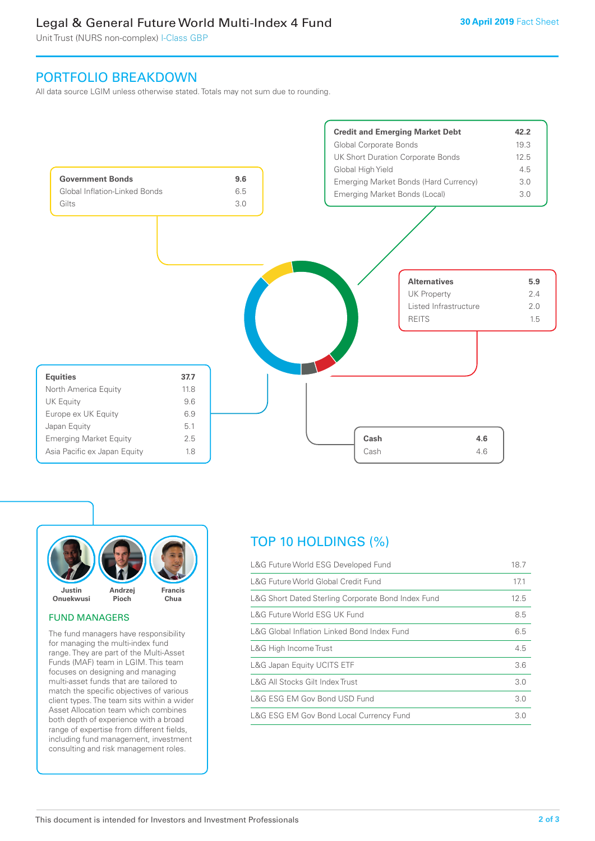# Legal & General Future World Multi-Index 4 Fund

Unit Trust (NURS non-complex) I-Class GBP

# PORTFOLIO BREAKDOWN

All data source LGIM unless otherwise stated. Totals may not sum due to rounding.





### FUND MANAGERS

The fund managers have responsibility for managing the multi-index fund range. They are part of the Multi-Asset Funds (MAF) team in LGIM. This team focuses on designing and managing multi-asset funds that are tailored to match the specific objectives of various client types. The team sits within a wider Asset Allocation team which combines both depth of experience with a broad range of expertise from different fields, including fund management, investment consulting and risk management roles.

# TOP 10 HOLDINGS (%)

| L&G Future World ESG Developed Fund                | 18.7 |
|----------------------------------------------------|------|
| L&G Future World Global Credit Fund                | 17.1 |
| L&G Short Dated Sterling Corporate Bond Index Fund | 12.5 |
| L&G Future World ESG UK Fund                       | 8.5  |
| L&G Global Inflation Linked Bond Index Fund        | 6.5  |
| L&G High Income Trust                              | 4.5  |
| L&G Japan Equity UCITS ETF                         | 3.6  |
| L&G All Stocks Gilt Index Trust                    | 3.0  |
| L&G ESG EM Gov Bond USD Fund                       | 3.0  |
| L&G ESG EM Gov Bond Local Currency Fund            | 3.0  |